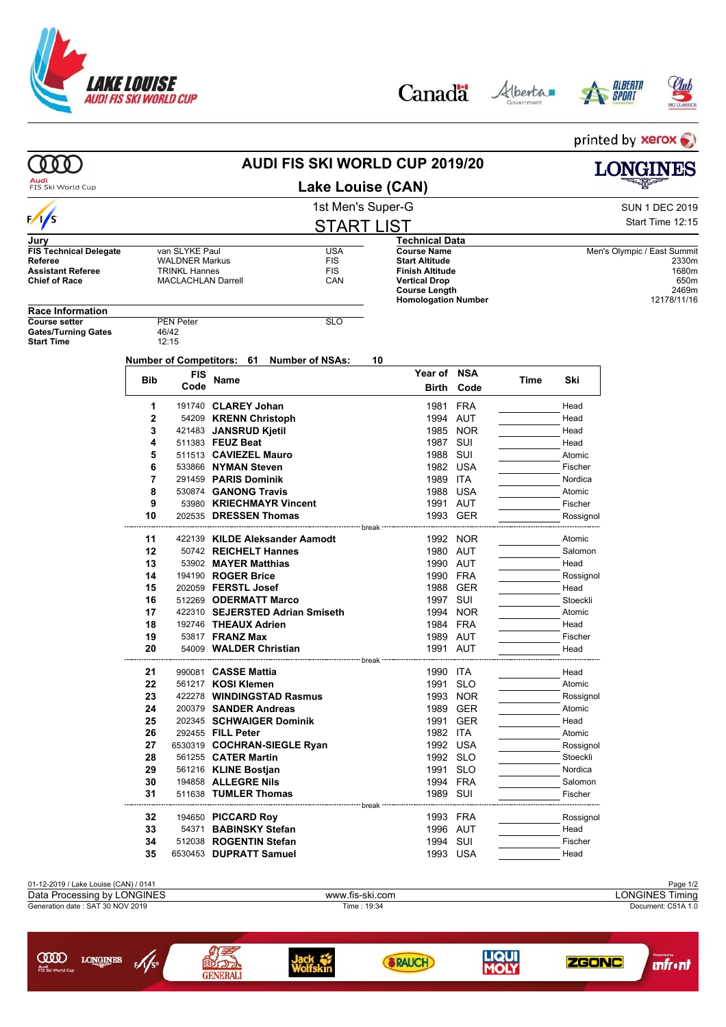

 $\sqrt{s}$ 

**LONGINES** 

ത്ത







printed by xerox **AUDI FIS SKI WORLD CUP 2019/20**  $000$ **LONGINES** Audi<br>FIS Ski World Cup **Lake Louise (CAN)** 1st Men's Super-G Super-G SUN 1 DEC 2019  $\frac{1}{s}$ Start Time 12:15 START LIST **Jury Technical Data FIS Technical Delegate** van SLYKE Paul **VALONER VALONER VALONER VALONER VALONER** VALONER VALONER VALONER VALONER VALONER VALONER VALONER VALONER VALONER VALONER VALONER VALONER VALONER VALONER VALONER VALONER VALONER VALO **Course Name** Men's Olympic / East Summit<br> **Start Altitude** 2330m **References**<br> **REFERENT MALDNER Markus**<br>
FIS **Start Altitude** 2330m<br> **Start Altitude** 2330m<br> **Finish Altitude** 2330m **Assistant Referee** TRINKL Hannes FIS **Finish Altitude** 1680m<br> **1680m**<br>
1680m<br>
1650m **MACLACHLAN Darrell Vertical Drop** 650m **Course Length** 2469m<br> **Course Length 2469m**<br> **Course Length 2178/11/16 Homologation Number Race Information Course setter** PEN Peter **PEN Peter** SLO<br>
Gates/Turning Gates 46/42 Gates/Turning Gates<br>
Start Time<br>
12:15 **Start Time Number of Competitors: 61 Number of NSAs: 10 Year of NSA Bib FIS Code Name Time Ski Birth Code 1** 191740 **CLAREY Johan** 1981 FRA Head **2** 54209 **KRENN Christoph 1994 AUT** Head **3** 421483 **JANSRUD Kjetil** 1985 NOR Head **4** 511383 **FEUZ Beat** 1987 SUI Head **5** 511513 **CAVIEZEL Mauro 1988 SUI Atomic** Atomic **6** 533866 **NYMAN Steven**<br> **6** 533866 **NYMAN Steven**<br> **7** 291459 **PARIS Dominik** 1989 ITA TAN Mordica **7** 291459 **PARIS Dominik** 1989 ITA Nordica **8** 530874 **GANONG Travis 1988 USA** Atomic **9** 53980 **KRIECHMAYR Vincent** 1991 AUT Fischer **10** 202535 DRESSEN Thomas 1993 GER Rossignol break **11** 422139 **KILDE Aleksander Aamodt** 1992 NOR Atomic **12** 50742 **REICHELT Hannes** 1980 AUT Salomon **13** 53902 **MAYER Matthias 1990 AUT** Head **14** 194190 **ROGER Brice** 1990 FRA Rossignol **15** 202059 **FERSTL Josef** 1988 GER Head **16** 512269 **ODERMATT Marco 1997 SUI Stoeckli 17** 422310 **SEJERSTED Adrian Smiseth** 1994 NOR Atomic **18** 192746 **THEAUX Adrien** 1984 FRA Head **19** 53817 **FRANZ Max** 1989 AUT Fischer **20** 54009 **WALDER Christian 1991 AUT** Head ----------break **21** 990081 **CASSE Mattia** 1990 ITA Head **22** 561217 **KOSI Klemen** 1991 SLO Atomic **23** 422278 **WINDINGSTAD Rasmus** 1993 NOR Rossignol **24** 200379 **SANDER Andreas** 1989 GER Atomic **25** 202345 **SCHWAIGER Dominik** 1991 GER Head **26** 292455 **FILL Peter 1982 ITA** Atomic **27** 6530319 **COCHRAN-SIEGLE Ryan** 1992 USA **Rossignol** Rossignol **28** 561255 **CATER Martin 28** 561255 **CATER Martin** 1992 SLO Stoeckli **29** 561216 **KLINE Bostjan** 1991 SLO Nordica **30** 194858 **ALLEGRE Nils 1994 FRA** Salomon Salomon Salomon Salomon Salomon Salomon Salomon Salomon Salomon Salomon Salomon Salomon Salomon Salomon Salomon Salomon Salomon Salomon Salomon Salomon Salomon Salomon Salomon **31** 511638 **TUMLER Thomas** 1989 SUI Fischer -- break · **32** 194650 **PICCARD Roy** 1993 FRA Rossignol **33** 54371 **BABINSKY Stefan** 1996 AUT Head **34** 512038 **ROGENTIN Stefan** 1994 SUI Fischer **35** 6530453 **DUPRATT Samuel** 1993 USA Head 01-12-2019 / Lake Louise (CAN) / 0141 Page 1/2 Data Processing by LONGINES **Example 2018** www.fis-ski.com **LONGINES Timing** Generation date : SAT 30 NOV 2019 Time : 19:34 Document: C51A 1.0



**unfr**•nt

**ZGONC** 

**LIQUI**<br>MOLY

**SRAUCH**